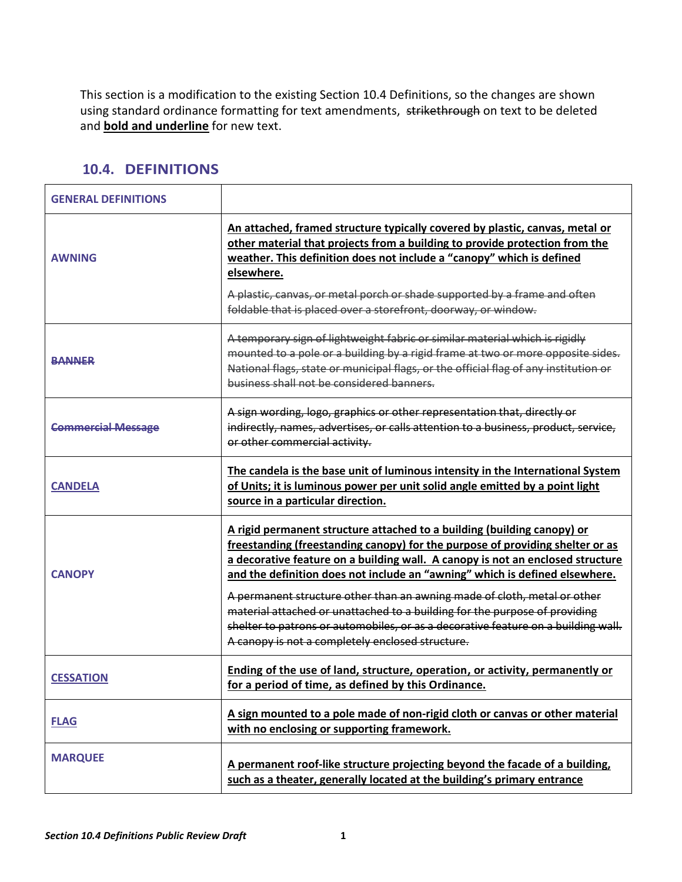This section is a modification to the existing Section 10.4 Definitions, so the changes are shown using standard ordinance formatting for text amendments, strikethrough on text to be deleted and **bold and underline** for new text.

| <b>GENERAL DEFINITIONS</b> |                                                                                                                                                                                                                                                                                                                                                                                                                                                                                                                                                                                                                              |
|----------------------------|------------------------------------------------------------------------------------------------------------------------------------------------------------------------------------------------------------------------------------------------------------------------------------------------------------------------------------------------------------------------------------------------------------------------------------------------------------------------------------------------------------------------------------------------------------------------------------------------------------------------------|
| <b>AWNING</b>              | An attached, framed structure typically covered by plastic, canvas, metal or<br>other material that projects from a building to provide protection from the<br>weather. This definition does not include a "canopy" which is defined<br>elsewhere.<br>A plastic, canvas, or metal porch or shade supported by a frame and often<br>foldable that is placed over a storefront, doorway, or window.                                                                                                                                                                                                                            |
| <b>BANNER</b>              | A temporary sign of lightweight fabric or similar material which is rigidly<br>mounted to a pole or a building by a rigid frame at two or more opposite sides.<br>National flags, state or municipal flags, or the official flag of any institution or<br>business shall not be considered banners.                                                                                                                                                                                                                                                                                                                          |
| <b>Commercial Message</b>  | A sign wording, logo, graphics or other representation that, directly or<br>indirectly, names, advertises, or calls attention to a business, product, service,<br>or other commercial activity.                                                                                                                                                                                                                                                                                                                                                                                                                              |
| <b>CANDELA</b>             | The candela is the base unit of luminous intensity in the International System<br>of Units; it is luminous power per unit solid angle emitted by a point light<br>source in a particular direction.                                                                                                                                                                                                                                                                                                                                                                                                                          |
| <b>CANOPY</b>              | A rigid permanent structure attached to a building (building canopy) or<br>freestanding (freestanding canopy) for the purpose of providing shelter or as<br>a decorative feature on a building wall. A canopy is not an enclosed structure<br>and the definition does not include an "awning" which is defined elsewhere.<br>A permanent structure other than an awning made of cloth, metal or other<br>material attached or unattached to a building for the purpose of providing<br>shelter to patrons or automobiles, or as a decorative feature on a building wall.<br>A canopy is not a completely enclosed structure. |
| <b>CESSATION</b>           | Ending of the use of land, structure, operation, or activity, permanently or<br>for a period of time, as defined by this Ordinance.                                                                                                                                                                                                                                                                                                                                                                                                                                                                                          |
| <b>FLAG</b>                | A sign mounted to a pole made of non-rigid cloth or canvas or other material<br>with no enclosing or supporting framework.                                                                                                                                                                                                                                                                                                                                                                                                                                                                                                   |
| <b>MARQUEE</b>             | A permanent roof-like structure projecting beyond the facade of a building,<br>such as a theater, generally located at the building's primary entrance                                                                                                                                                                                                                                                                                                                                                                                                                                                                       |

## **10.4. DEFINITIONS**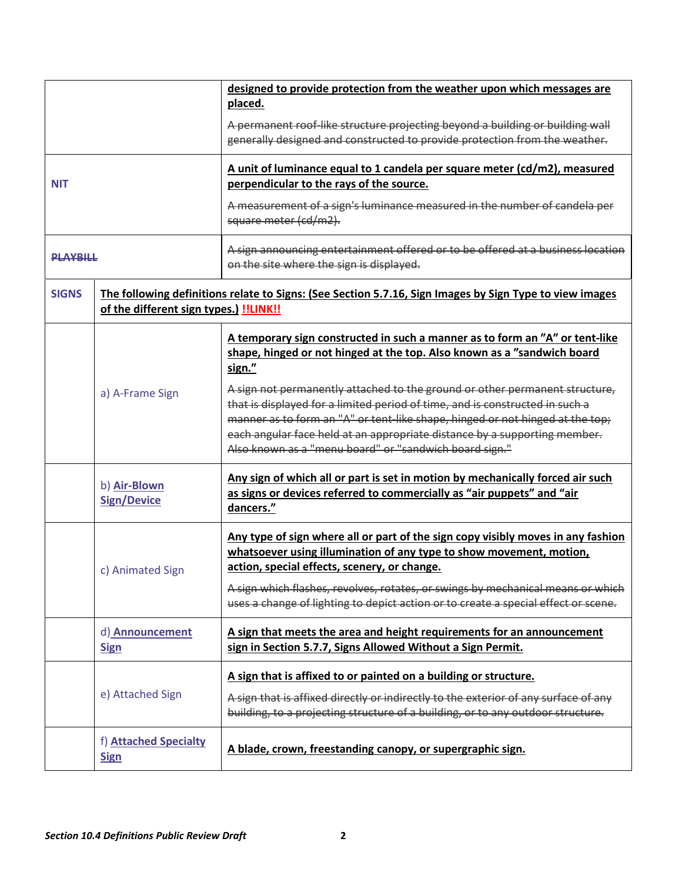|                 |                                               | designed to provide protection from the weather upon which messages are                                                                                                                                                                                                                                                                                                             |
|-----------------|-----------------------------------------------|-------------------------------------------------------------------------------------------------------------------------------------------------------------------------------------------------------------------------------------------------------------------------------------------------------------------------------------------------------------------------------------|
|                 |                                               | placed.                                                                                                                                                                                                                                                                                                                                                                             |
|                 |                                               | A permanent roof-like structure projecting beyond a building or building wall<br>generally designed and constructed to provide protection from the weather.                                                                                                                                                                                                                         |
| <b>NIT</b>      |                                               | A unit of luminance equal to 1 candela per square meter (cd/m2), measured<br>perpendicular to the rays of the source.                                                                                                                                                                                                                                                               |
|                 |                                               | A measurement of a sign's luminance measured in the number of candela per<br>square meter (cd/m2).                                                                                                                                                                                                                                                                                  |
| <b>PLAYRILL</b> |                                               | A sign announcing entertainment offered or to be offered at a business location<br>on the site where the sign is displayed.                                                                                                                                                                                                                                                         |
| <b>SIGNS</b>    | of the different sign types.) <b>!!LINK!!</b> | The following definitions relate to Signs: (See Section 5.7.16, Sign Images by Sign Type to view images                                                                                                                                                                                                                                                                             |
|                 |                                               | A temporary sign constructed in such a manner as to form an "A" or tent-like<br>shape, hinged or not hinged at the top. Also known as a "sandwich board<br>sign."                                                                                                                                                                                                                   |
|                 | a) A-Frame Sign                               | A sign not permanently attached to the ground or other permanent structure,<br>that is displayed for a limited period of time, and is constructed in such a<br>manner as to form an "A" or tent-like shape, hinged or not hinged at the top;<br>each angular face held at an appropriate distance by a supporting member.<br>Also known as a "menu board" or "sandwich board sign." |
|                 | b) Air-Blown<br><b>Sign/Device</b>            | Any sign of which all or part is set in motion by mechanically forced air such<br>as signs or devices referred to commercially as "air puppets" and "air<br>dancers."                                                                                                                                                                                                               |
|                 | c) Animated Sign                              | Any type of sign where all or part of the sign copy visibly moves in any fashion<br>whatsoever using illumination of any type to show movement, motion,<br>action, special effects, scenery, or change.<br>A sign which flashes, revolves, rotates, or swings by mechanical means or which<br>uses a change of lighting to depict action or to create a special effect or scene.    |
|                 | d) Announcement<br><b>Sign</b>                | A sign that meets the area and height requirements for an announcement<br>sign in Section 5.7.7, Signs Allowed Without a Sign Permit.                                                                                                                                                                                                                                               |
|                 | e) Attached Sign                              | A sign that is affixed to or painted on a building or structure.<br>A sign that is affixed directly or indirectly to the exterior of any surface of any<br>building, to a projecting structure of a building, or to any outdoor structure.                                                                                                                                          |
|                 | f) Attached Specialty<br><b>Sign</b>          | A blade, crown, freestanding canopy, or supergraphic sign.                                                                                                                                                                                                                                                                                                                          |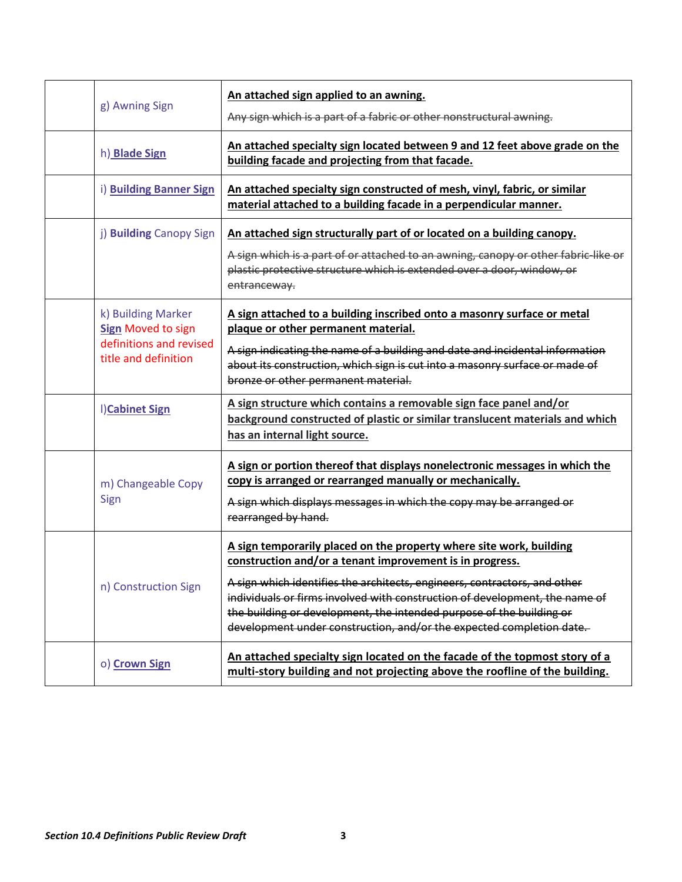| g) Awning Sign                                                                                     | An attached sign applied to an awning.<br>Any sign which is a part of a fabric or other nonstructural awning.                                                                                                                                                                                                                                                                                                                               |
|----------------------------------------------------------------------------------------------------|---------------------------------------------------------------------------------------------------------------------------------------------------------------------------------------------------------------------------------------------------------------------------------------------------------------------------------------------------------------------------------------------------------------------------------------------|
| h) Blade Sign                                                                                      | An attached specialty sign located between 9 and 12 feet above grade on the<br>building facade and projecting from that facade.                                                                                                                                                                                                                                                                                                             |
| i) Building Banner Sign                                                                            | An attached specialty sign constructed of mesh, vinyl, fabric, or similar<br>material attached to a building facade in a perpendicular manner.                                                                                                                                                                                                                                                                                              |
| j) Building Canopy Sign                                                                            | An attached sign structurally part of or located on a building canopy.<br>A sign which is a part of or attached to an awning, canopy or other fabric-like or<br>plastic protective structure which is extended over a door, window, or<br>entranceway.                                                                                                                                                                                      |
| k) Building Marker<br><b>Sign Moved to sign</b><br>definitions and revised<br>title and definition | A sign attached to a building inscribed onto a masonry surface or metal<br>plaque or other permanent material.<br>A sign indicating the name of a building and date and incidental information<br>about its construction, which sign is cut into a masonry surface or made of<br>bronze or other permanent material.                                                                                                                        |
| I)Cabinet Sign                                                                                     | A sign structure which contains a removable sign face panel and/or<br>background constructed of plastic or similar translucent materials and which<br>has an internal light source.                                                                                                                                                                                                                                                         |
| m) Changeable Copy<br>Sign                                                                         | A sign or portion thereof that displays nonelectronic messages in which the<br>copy is arranged or rearranged manually or mechanically.<br>A sign which displays messages in which the copy may be arranged or<br>rearranged by hand.                                                                                                                                                                                                       |
| n) Construction Sign                                                                               | A sign temporarily placed on the property where site work, building<br>construction and/or a tenant improvement is in progress.<br>A sign which identifies the architects, engineers, contractors, and other<br>individuals or firms involved with construction of development, the name of<br>the building or development, the intended purpose of the building or<br>development under construction, and/or the expected completion date. |
| o) Crown Sign                                                                                      | An attached specialty sign located on the facade of the topmost story of a<br>multi-story building and not projecting above the roofline of the building.                                                                                                                                                                                                                                                                                   |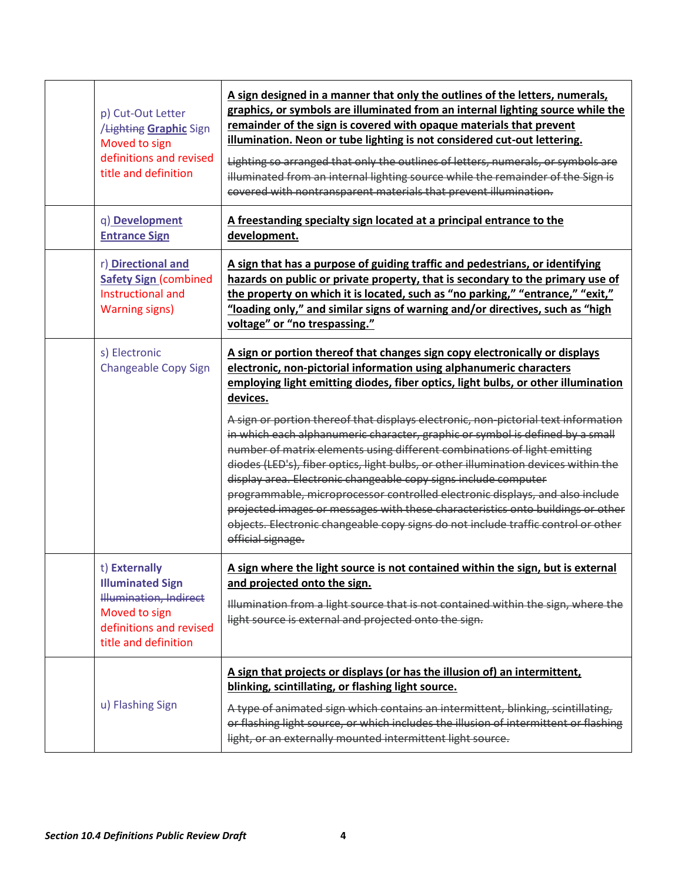| p) Cut-Out Letter<br>/Lighting Graphic Sign<br>Moved to sign<br>definitions and revised<br>title and definition                               | A sign designed in a manner that only the outlines of the letters, numerals,<br>graphics, or symbols are illuminated from an internal lighting source while the<br>remainder of the sign is covered with opaque materials that prevent<br>illumination. Neon or tube lighting is not considered cut-out lettering.<br>Lighting so arranged that only the outlines of letters, numerals, or symbols are<br>illuminated from an internal lighting source while the remainder of the Sign is<br>covered with nontransparent materials that prevent illumination.                                                                                                                                                                                                                                                                                                                                                                                  |
|-----------------------------------------------------------------------------------------------------------------------------------------------|------------------------------------------------------------------------------------------------------------------------------------------------------------------------------------------------------------------------------------------------------------------------------------------------------------------------------------------------------------------------------------------------------------------------------------------------------------------------------------------------------------------------------------------------------------------------------------------------------------------------------------------------------------------------------------------------------------------------------------------------------------------------------------------------------------------------------------------------------------------------------------------------------------------------------------------------|
| q) Development<br><b>Entrance Sign</b>                                                                                                        | A freestanding specialty sign located at a principal entrance to the<br>development.                                                                                                                                                                                                                                                                                                                                                                                                                                                                                                                                                                                                                                                                                                                                                                                                                                                           |
| r) Directional and<br><b>Safety Sign (combined</b><br>Instructional and<br><b>Warning signs)</b>                                              | A sign that has a purpose of guiding traffic and pedestrians, or identifying<br>hazards on public or private property, that is secondary to the primary use of<br>the property on which it is located, such as "no parking," "entrance," "exit,"<br>"loading only," and similar signs of warning and/or directives, such as "high<br>voltage" or "no trespassing."                                                                                                                                                                                                                                                                                                                                                                                                                                                                                                                                                                             |
| s) Electronic<br><b>Changeable Copy Sign</b>                                                                                                  | A sign or portion thereof that changes sign copy electronically or displays<br>electronic, non-pictorial information using alphanumeric characters<br>employing light emitting diodes, fiber optics, light bulbs, or other illumination<br>devices.<br>A sign or portion thereof that displays electronic, non-pictorial text information<br>in which each alphanumeric character, graphic or symbol is defined by a small<br>number of matrix elements using different combinations of light emitting<br>diodes (LED's), fiber optics, light bulbs, or other illumination devices within the<br>display area. Electronic changeable copy signs include computer<br>programmable, microprocessor controlled electronic displays, and also include<br>projected images or messages with these characteristics onto buildings or other<br>objects. Electronic changeable copy signs do not include traffic control or other<br>official signage. |
| t) Externally<br><b>Illuminated Sign</b><br><b>Illumination, Indirect</b><br>Moved to sign<br>definitions and revised<br>title and definition | A sign where the light source is not contained within the sign, but is external<br>and projected onto the sign.<br>Illumination from a light source that is not contained within the sign, where the<br>light source is external and projected onto the sign.                                                                                                                                                                                                                                                                                                                                                                                                                                                                                                                                                                                                                                                                                  |
| u) Flashing Sign                                                                                                                              | A sign that projects or displays (or has the illusion of) an intermittent,<br>blinking, scintillating, or flashing light source.<br>A type of animated sign which contains an intermittent, blinking, scintillating,<br>or flashing light source, or which includes the illusion of intermittent or flashing<br>light, or an externally mounted intermittent light source.                                                                                                                                                                                                                                                                                                                                                                                                                                                                                                                                                                     |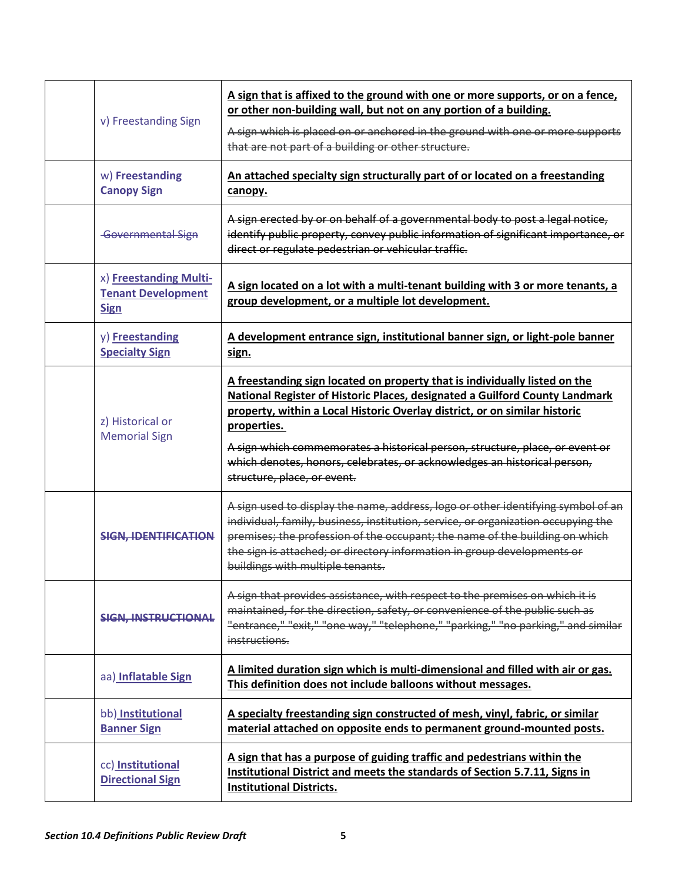| v) Freestanding Sign                                               | A sign that is affixed to the ground with one or more supports, or on a fence,<br>or other non-building wall, but not on any portion of a building.<br>A sign which is placed on or anchored in the ground with one or more supports<br>that are not part of a building or other structure.                                                                                                                                                       |
|--------------------------------------------------------------------|---------------------------------------------------------------------------------------------------------------------------------------------------------------------------------------------------------------------------------------------------------------------------------------------------------------------------------------------------------------------------------------------------------------------------------------------------|
| w) Freestanding<br><b>Canopy Sign</b>                              | An attached specialty sign structurally part of or located on a freestanding<br>canopy.                                                                                                                                                                                                                                                                                                                                                           |
| <b>Governmental Sign</b>                                           | A sign erected by or on behalf of a governmental body to post a legal notice,<br>identify public property, convey public information of significant importance, or<br>direct or regulate pedestrian or vehicular traffic.                                                                                                                                                                                                                         |
| x) Freestanding Multi-<br><b>Tenant Development</b><br><b>Sign</b> | A sign located on a lot with a multi-tenant building with 3 or more tenants, a<br>group development, or a multiple lot development.                                                                                                                                                                                                                                                                                                               |
| y) Freestanding<br><b>Specialty Sign</b>                           | A development entrance sign, institutional banner sign, or light-pole banner<br>sign.                                                                                                                                                                                                                                                                                                                                                             |
| z) Historical or<br><b>Memorial Sign</b>                           | A freestanding sign located on property that is individually listed on the<br>National Register of Historic Places, designated a Guilford County Landmark<br>property, within a Local Historic Overlay district, or on similar historic<br>properties.<br>A sign which commemorates a historical person, structure, place, or event or<br>which denotes, honors, celebrates, or acknowledges an historical person,<br>structure, place, or event. |
| <b>SIGN, IDENTIFICATION</b>                                        | A sign used to display the name, address, logo or other identifying symbol of an<br>individual, family, business, institution, service, or organization occupying the<br>premises; the profession of the occupant; the name of the building on which<br>the sign is attached; or directory information in group developments or<br>buildings with multiple tenants.                                                                               |
| <b>SIGN. INSTRUCTIONAL</b>                                         | A sign that provides assistance, with respect to the premises on which it is<br>maintained, for the direction, safety, or convenience of the public such as<br>"entrance," "exit," "one way," "telephone," "parking," "no parking," and similar<br>instructions.                                                                                                                                                                                  |
| aa) Inflatable Sign                                                | A limited duration sign which is multi-dimensional and filled with air or gas.<br>This definition does not include balloons without messages.                                                                                                                                                                                                                                                                                                     |
| bb) Institutional<br><b>Banner Sign</b>                            | A specialty freestanding sign constructed of mesh, vinyl, fabric, or similar<br>material attached on opposite ends to permanent ground-mounted posts.                                                                                                                                                                                                                                                                                             |
| cc) Institutional<br><b>Directional Sign</b>                       | A sign that has a purpose of guiding traffic and pedestrians within the<br>Institutional District and meets the standards of Section 5.7.11, Signs in<br><b>Institutional Districts.</b>                                                                                                                                                                                                                                                          |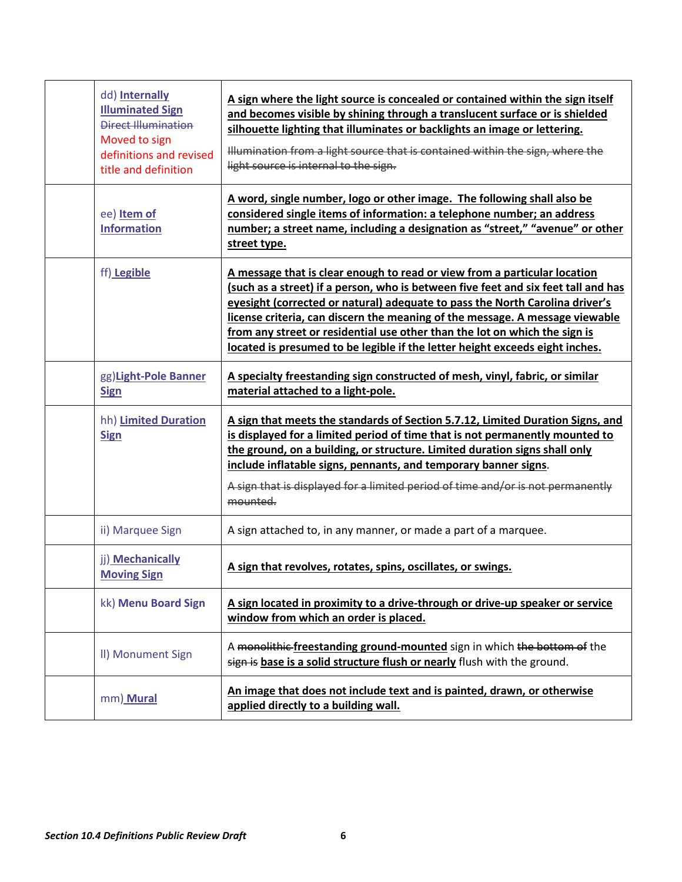| dd) Internally<br><b>Illuminated Sign</b><br>Direct Illumination<br>Moved to sign<br>definitions and revised<br>title and definition | A sign where the light source is concealed or contained within the sign itself<br>and becomes visible by shining through a translucent surface or is shielded<br>silhouette lighting that illuminates or backlights an image or lettering.<br>Illumination from a light source that is contained within the sign, where the<br>light source is internal to the sign.                                                                                                                          |
|--------------------------------------------------------------------------------------------------------------------------------------|-----------------------------------------------------------------------------------------------------------------------------------------------------------------------------------------------------------------------------------------------------------------------------------------------------------------------------------------------------------------------------------------------------------------------------------------------------------------------------------------------|
| ee) Item of<br><b>Information</b>                                                                                                    | A word, single number, logo or other image. The following shall also be<br>considered single items of information: a telephone number; an address<br>number; a street name, including a designation as "street," "avenue" or other<br>street type.                                                                                                                                                                                                                                            |
| ff) Legible                                                                                                                          | A message that is clear enough to read or view from a particular location<br>(such as a street) if a person, who is between five feet and six feet tall and has<br>eyesight (corrected or natural) adequate to pass the North Carolina driver's<br>license criteria, can discern the meaning of the message. A message viewable<br>from any street or residential use other than the lot on which the sign is<br>located is presumed to be legible if the letter height exceeds eight inches. |
| gg)Light-Pole Banner<br><b>Sign</b>                                                                                                  | A specialty freestanding sign constructed of mesh, vinyl, fabric, or similar<br>material attached to a light-pole.                                                                                                                                                                                                                                                                                                                                                                            |
| hh) Limited Duration<br><b>Sign</b>                                                                                                  | A sign that meets the standards of Section 5.7.12, Limited Duration Signs, and<br>is displayed for a limited period of time that is not permanently mounted to<br>the ground, on a building, or structure. Limited duration signs shall only<br>include inflatable signs, pennants, and temporary banner signs.<br>A sign that is displayed for a limited period of time and/or is not permanently<br>mounted.                                                                                |
| ii) Marquee Sign                                                                                                                     | A sign attached to, in any manner, or made a part of a marquee.                                                                                                                                                                                                                                                                                                                                                                                                                               |
| jj) Mechanically<br><b>Moving Sign</b>                                                                                               | A sign that revolves, rotates, spins, oscillates, or swings.                                                                                                                                                                                                                                                                                                                                                                                                                                  |
| kk) Menu Board Sign                                                                                                                  | A sign located in proximity to a drive-through or drive-up speaker or service<br>window from which an order is placed.                                                                                                                                                                                                                                                                                                                                                                        |
| II) Monument Sign                                                                                                                    | A monolithic freestanding ground-mounted sign in which the bottom of the<br>sign is base is a solid structure flush or nearly flush with the ground.                                                                                                                                                                                                                                                                                                                                          |
| mm) Mural                                                                                                                            | An image that does not include text and is painted, drawn, or otherwise<br>applied directly to a building wall.                                                                                                                                                                                                                                                                                                                                                                               |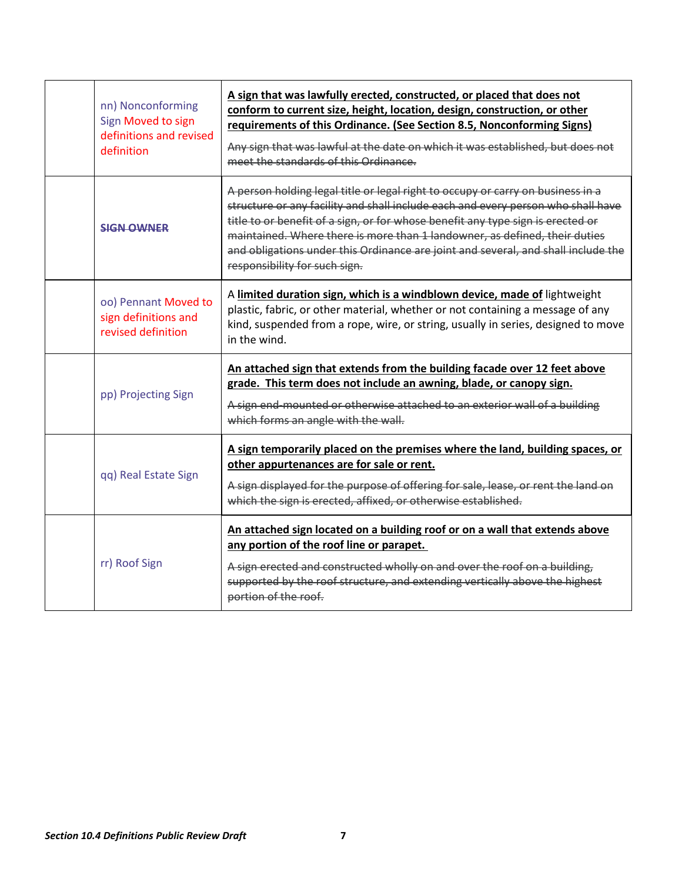| nn) Nonconforming<br>Sign Moved to sign<br>definitions and revised<br>definition | A sign that was lawfully erected, constructed, or placed that does not<br>conform to current size, height, location, design, construction, or other<br>requirements of this Ordinance. (See Section 8.5, Nonconforming Signs)<br>Any sign that was lawful at the date on which it was established, but does not<br>meet the standards of this Ordinance.                                                                                                   |
|----------------------------------------------------------------------------------|------------------------------------------------------------------------------------------------------------------------------------------------------------------------------------------------------------------------------------------------------------------------------------------------------------------------------------------------------------------------------------------------------------------------------------------------------------|
| <b>SIGN OWNER</b>                                                                | A person holding legal title or legal right to occupy or carry on business in a<br>structure or any facility and shall include each and every person who shall have<br>title to or benefit of a sign, or for whose benefit any type sign is erected or<br>maintained. Where there is more than 1 landowner, as defined, their duties<br>and obligations under this Ordinance are joint and several, and shall include the<br>responsibility for such sign. |
| oo) Pennant Moved to<br>sign definitions and<br>revised definition               | A limited duration sign, which is a windblown device, made of lightweight<br>plastic, fabric, or other material, whether or not containing a message of any<br>kind, suspended from a rope, wire, or string, usually in series, designed to move<br>in the wind.                                                                                                                                                                                           |
| pp) Projecting Sign                                                              | An attached sign that extends from the building facade over 12 feet above<br>grade. This term does not include an awning, blade, or canopy sign.<br>A sign end-mounted or otherwise attached to an exterior wall of a building<br>which forms an angle with the wall.                                                                                                                                                                                      |
| qq) Real Estate Sign                                                             | A sign temporarily placed on the premises where the land, building spaces, or<br>other appurtenances are for sale or rent.<br>A sign displayed for the purpose of offering for sale, lease, or rent the land on<br>which the sign is erected, affixed, or otherwise established.                                                                                                                                                                           |
| rr) Roof Sign                                                                    | An attached sign located on a building roof or on a wall that extends above<br>any portion of the roof line or parapet.<br>A sign erected and constructed wholly on and over the roof on a building,<br>supported by the roof structure, and extending vertically above the highest<br>portion of the roof.                                                                                                                                                |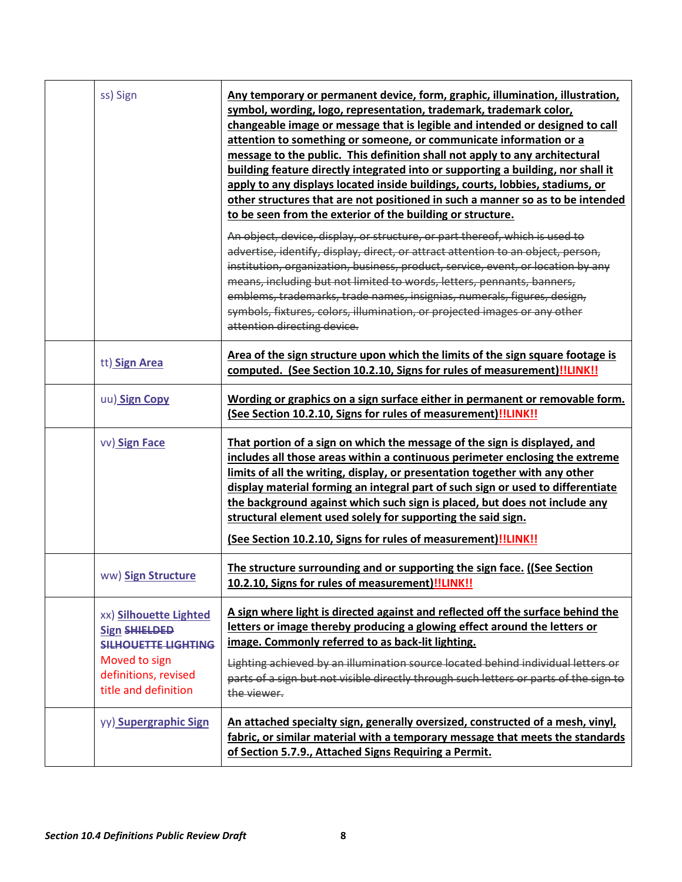| ss) Sign      |                                                                                                                              | Any temporary or permanent device, form, graphic, illumination, illustration,<br>symbol, wording, logo, representation, trademark, trademark color,<br>changeable image or message that is legible and intended or designed to call<br>attention to something or someone, or communicate information or a<br>message to the public. This definition shall not apply to any architectural<br>building feature directly integrated into or supporting a building, nor shall it<br>apply to any displays located inside buildings, courts, lobbies, stadiums, or<br>other structures that are not positioned in such a manner so as to be intended<br>to be seen from the exterior of the building or structure.<br>An object, device, display, or structure, or part thereof, which is used to<br>advertise, identify, display, direct, or attract attention to an object, person,<br>institution, organization, business, product, service, event, or location by any<br>means, including but not limited to words, letters, pennants, banners,<br>emblems, trademarks, trade names, insignias, numerals, figures, design,<br>symbols, fixtures, colors, illumination, or projected images or any other<br>attention directing device. |
|---------------|------------------------------------------------------------------------------------------------------------------------------|---------------------------------------------------------------------------------------------------------------------------------------------------------------------------------------------------------------------------------------------------------------------------------------------------------------------------------------------------------------------------------------------------------------------------------------------------------------------------------------------------------------------------------------------------------------------------------------------------------------------------------------------------------------------------------------------------------------------------------------------------------------------------------------------------------------------------------------------------------------------------------------------------------------------------------------------------------------------------------------------------------------------------------------------------------------------------------------------------------------------------------------------------------------------------------------------------------------------------------------|
| tt) Sign Area |                                                                                                                              | Area of the sign structure upon which the limits of the sign square footage is<br>computed. (See Section 10.2.10, Signs for rules of measurement)!!LINK!!                                                                                                                                                                                                                                                                                                                                                                                                                                                                                                                                                                                                                                                                                                                                                                                                                                                                                                                                                                                                                                                                             |
| uu) Sign Copy |                                                                                                                              | Wording or graphics on a sign surface either in permanent or removable form.<br>(See Section 10.2.10, Signs for rules of measurement)!!LINK!!                                                                                                                                                                                                                                                                                                                                                                                                                                                                                                                                                                                                                                                                                                                                                                                                                                                                                                                                                                                                                                                                                         |
| vv) Sign Face |                                                                                                                              | That portion of a sign on which the message of the sign is displayed, and<br>includes all those areas within a continuous perimeter enclosing the extreme<br>limits of all the writing, display, or presentation together with any other<br>display material forming an integral part of such sign or used to differentiate<br>the background against which such sign is placed, but does not include any<br>structural element used solely for supporting the said sign.<br>(See Section 10.2.10, Signs for rules of measurement)!!LINK!!                                                                                                                                                                                                                                                                                                                                                                                                                                                                                                                                                                                                                                                                                            |
|               | ww) Sign Structure                                                                                                           | The structure surrounding and or supporting the sign face. ((See Section<br>10.2.10, Signs for rules of measurement)!!LINK!!                                                                                                                                                                                                                                                                                                                                                                                                                                                                                                                                                                                                                                                                                                                                                                                                                                                                                                                                                                                                                                                                                                          |
| Moved to sign | xx) Silhouette Lighted<br><b>Sign SHIELDED</b><br><b>SILHOUETTE LIGHTING</b><br>definitions, revised<br>title and definition | A sign where light is directed against and reflected off the surface behind the<br>letters or image thereby producing a glowing effect around the letters or<br>image. Commonly referred to as back-lit lighting.<br>Lighting achieved by an illumination source located behind individual letters or<br>parts of a sign but not visible directly through such letters or parts of the sign to<br>the viewer.                                                                                                                                                                                                                                                                                                                                                                                                                                                                                                                                                                                                                                                                                                                                                                                                                         |
|               | yy) Supergraphic Sign                                                                                                        | An attached specialty sign, generally oversized, constructed of a mesh, vinyl,<br>fabric, or similar material with a temporary message that meets the standards<br>of Section 5.7.9., Attached Signs Requiring a Permit.                                                                                                                                                                                                                                                                                                                                                                                                                                                                                                                                                                                                                                                                                                                                                                                                                                                                                                                                                                                                              |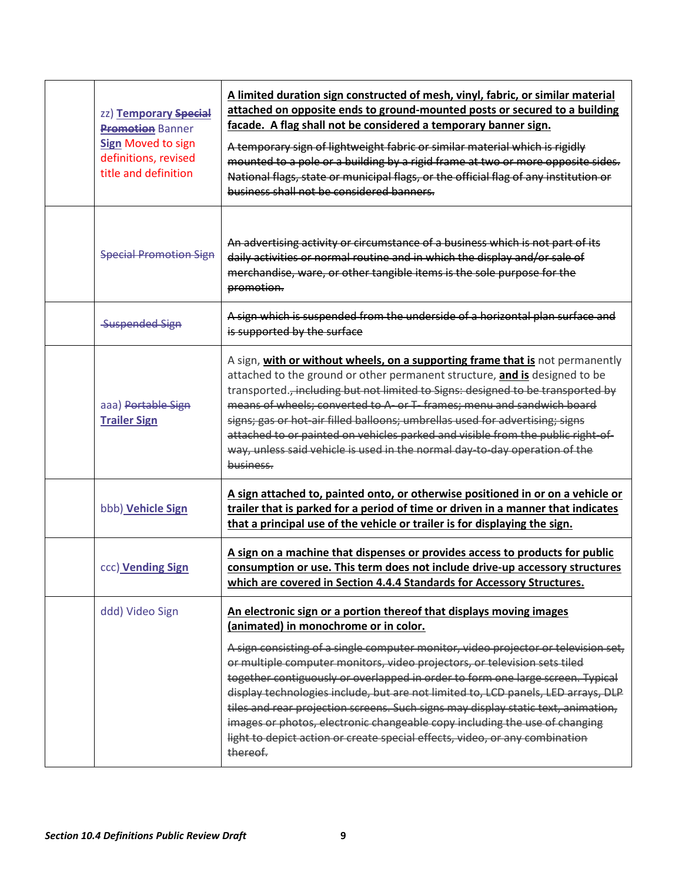| zz) Temporary Special<br><b>Promotion Banner</b><br><b>Sign Moved to sign</b><br>definitions, revised<br>title and definition | A limited duration sign constructed of mesh, vinyl, fabric, or similar material<br>attached on opposite ends to ground-mounted posts or secured to a building<br>facade. A flag shall not be considered a temporary banner sign.<br>A temporary sign of lightweight fabric or similar material which is rigidly<br>mounted to a pole or a building by a rigid frame at two or more opposite sides.<br>National flags, state or municipal flags, or the official flag of any institution or<br>business shall not be considered banners.                                                                                                                                                                              |
|-------------------------------------------------------------------------------------------------------------------------------|----------------------------------------------------------------------------------------------------------------------------------------------------------------------------------------------------------------------------------------------------------------------------------------------------------------------------------------------------------------------------------------------------------------------------------------------------------------------------------------------------------------------------------------------------------------------------------------------------------------------------------------------------------------------------------------------------------------------|
| <b>Special Promotion Sign</b>                                                                                                 | An advertising activity or circumstance of a business which is not part of its<br>daily activities or normal routine and in which the display and/or sale of<br>merchandise, ware, or other tangible items is the sole purpose for the<br>promotion.                                                                                                                                                                                                                                                                                                                                                                                                                                                                 |
| <b>Suspended Sign</b>                                                                                                         | A sign which is suspended from the underside of a horizontal plan surface and<br>is supported by the surface                                                                                                                                                                                                                                                                                                                                                                                                                                                                                                                                                                                                         |
| aaa) Portable Sign<br><b>Trailer Sign</b>                                                                                     | A sign, with or without wheels, on a supporting frame that is not permanently<br>attached to the ground or other permanent structure, and is designed to be<br>transported., including but not limited to Signs: designed to be transported by<br>means of wheels; converted to A- or T- frames; menu and sandwich board<br>signs; gas or hot-air filled balloons; umbrellas used for advertising; signs<br>attached to or painted on vehicles parked and visible from the public right-of-<br>way, unless said vehicle is used in the normal day-to-day operation of the<br>business.                                                                                                                               |
| bbb) Vehicle Sign                                                                                                             | A sign attached to, painted onto, or otherwise positioned in or on a vehicle or<br>trailer that is parked for a period of time or driven in a manner that indicates<br>that a principal use of the vehicle or trailer is for displaying the sign.                                                                                                                                                                                                                                                                                                                                                                                                                                                                    |
| ccc) Vending Sign                                                                                                             | A sign on a machine that dispenses or provides access to products for public<br>consumption or use. This term does not include drive-up accessory structures<br>which are covered in Section 4.4.4 Standards for Accessory Structures.                                                                                                                                                                                                                                                                                                                                                                                                                                                                               |
| ddd) Video Sign                                                                                                               | An electronic sign or a portion thereof that displays moving images<br>(animated) in monochrome or in color.<br>A sign consisting of a single computer monitor, video projector or television set,<br>or multiple computer monitors, video projectors, or television sets tiled<br>together contiguously or overlapped in order to form one large screen. Typical<br>display technologies include, but are not limited to, LCD panels, LED arrays, DLP<br>tiles and rear projection screens. Such signs may display static text, animation,<br>images or photos, electronic changeable copy including the use of changing<br>light to depict action or create special effects, video, or any combination<br>thereof. |